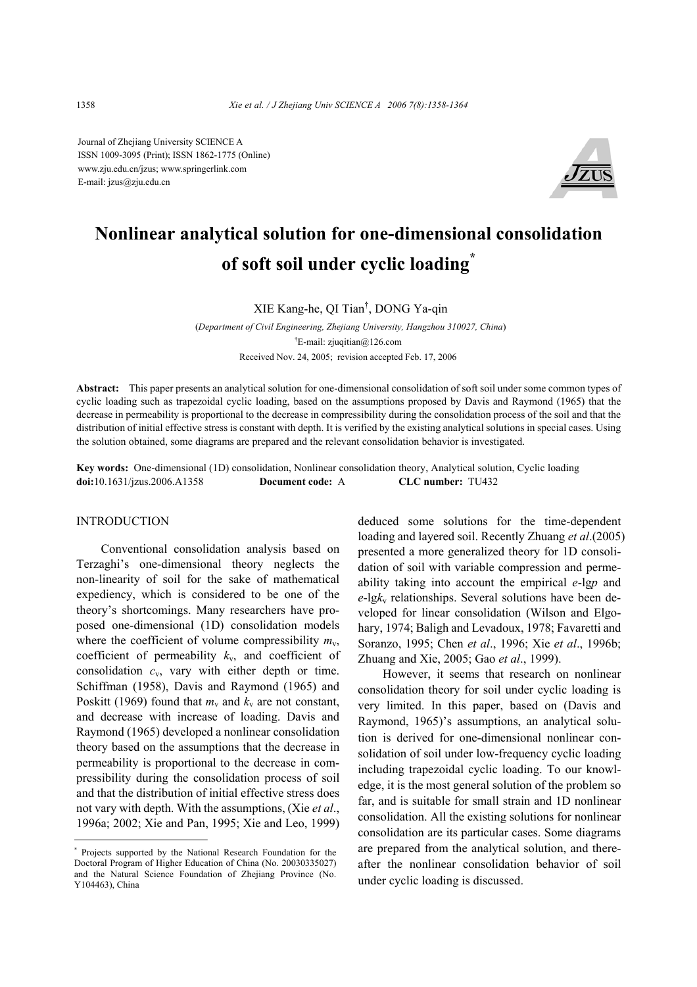Journal of Zhejiang University SCIENCE A ISSN 1009-3095 (Print); ISSN 1862-1775 (Online) www.zju.edu.cn/jzus; www.springerlink.com E-mail: jzus@zju.edu.cn



# **Nonlinear analytical solution for one-dimensional consolidation of soft soil under cyclic loading\***

XIE Kang-he, QI Tian† , DONG Ya-qin

(*Department of Civil Engineering, Zhejiang University, Hangzhou 310027, China*) † E-mail: zjuqitian@126.com Received Nov. 24, 2005; revision accepted Feb. 17, 2006

**Abstract:** This paper presents an analytical solution for one-dimensional consolidation of soft soil under some common types of cyclic loading such as trapezoidal cyclic loading, based on the assumptions proposed by Davis and Raymond (1965) that the decrease in permeability is proportional to the decrease in compressibility during the consolidation process of the soil and that the distribution of initial effective stress is constant with depth. It is verified by the existing analytical solutions in special cases. Using the solution obtained, some diagrams are prepared and the relevant consolidation behavior is investigated.

**Key words:** One-dimensional (1D) consolidation, Nonlinear consolidation theory, Analytical solution, Cyclic loading **doi:**10.1631/jzus.2006.A1358 **Document code:** A **CLC number:** TU432

# INTRODUCTION

Conventional consolidation analysis based on Terzaghi's one-dimensional theory neglects the non-linearity of soil for the sake of mathematical expediency, which is considered to be one of the theory's shortcomings. Many researchers have proposed one-dimensional (1D) consolidation models where the coefficient of volume compressibility  $m_v$ , coefficient of permeability *k*v, and coefficient of consolidation *c*v, vary with either depth or time. Schiffman (1958), Davis and Raymond (1965) and Poskitt (1969) found that  $m_v$  and  $k_v$  are not constant, and decrease with increase of loading. Davis and Raymond (1965) developed a nonlinear consolidation theory based on the assumptions that the decrease in permeability is proportional to the decrease in compressibility during the consolidation process of soil and that the distribution of initial effective stress does not vary with depth. With the assumptions, (Xie *et al*., 1996a; 2002; Xie and Pan, 1995; Xie and Leo, 1999)

deduced some solutions for the time-dependent loading and layered soil. Recently Zhuang *et al*.(2005) presented a more generalized theory for 1D consolidation of soil with variable compression and permeability taking into account the empirical *e*-lg*p* and  $e$ -lg $k_v$  relationships. Several solutions have been developed for linear consolidation (Wilson and Elgohary, 1974; Baligh and Levadoux, 1978; Favaretti and Soranzo, 1995; Chen *et al*., 1996; Xie *et al*., 1996b; Zhuang and Xie, 2005; Gao *et al*., 1999).

However, it seems that research on nonlinear consolidation theory for soil under cyclic loading is very limited. In this paper, based on (Davis and Raymond, 1965)'s assumptions, an analytical solution is derived for one-dimensional nonlinear consolidation of soil under low-frequency cyclic loading including trapezoidal cyclic loading. To our knowledge, it is the most general solution of the problem so far, and is suitable for small strain and 1D nonlinear consolidation. All the existing solutions for nonlinear consolidation are its particular cases. Some diagrams are prepared from the analytical solution, and thereafter the nonlinear consolidation behavior of soil under cyclic loading is discussed.

<sup>\*</sup> Projects supported by the National Research Foundation for the Doctoral Program of Higher Education of China (No. 20030335027) and the Natural Science Foundation of Zhejiang Province (No. Y104463), China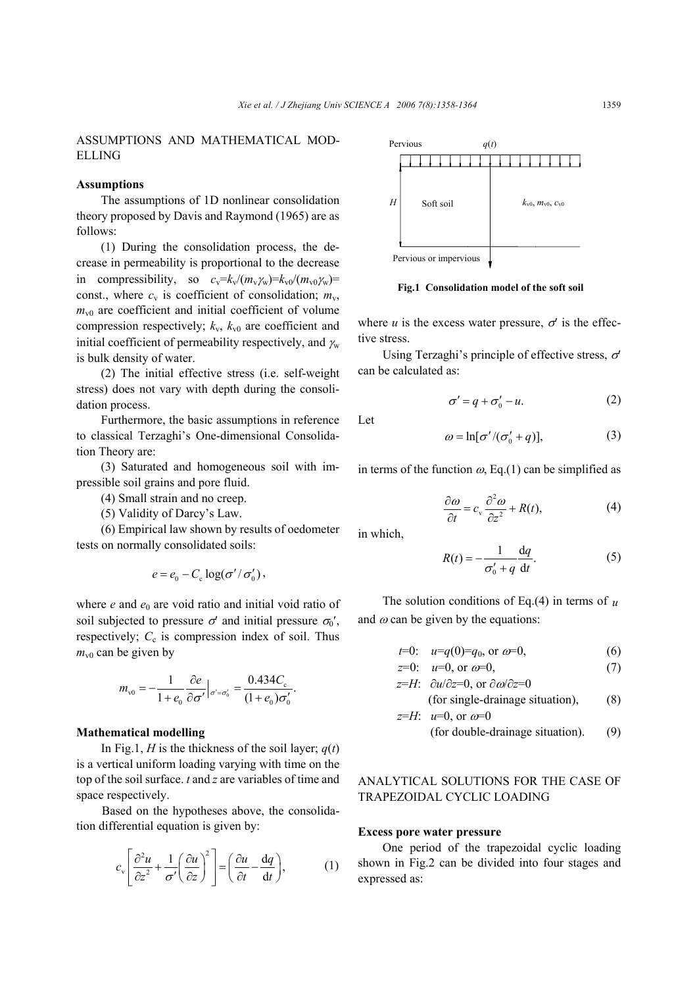# ASSUMPTIONS AND MATHEMATICAL MOD-ELLING

## **Assumptions**

The assumptions of 1D nonlinear consolidation theory proposed by Davis and Raymond (1965) are as follows:

(1) During the consolidation process, the decrease in permeability is proportional to the decrease in compressibility, so  $c_v = k_v/(m_v \gamma_w) = k_{v0}/(m_v \gamma_w) =$ const., where  $c_v$  is coefficient of consolidation;  $m_v$ ,  $m_{\nu 0}$  are coefficient and initial coefficient of volume compression respectively;  $k_v$ ,  $k_{v0}$  are coefficient and initial coefficient of permeability respectively, and  $\gamma_w$ is bulk density of water.

(2) The initial effective stress (i.e. self-weight stress) does not vary with depth during the consolidation process.

Furthermore, the basic assumptions in reference to classical Terzaghi's One-dimensional Consolidation Theory are:

(3) Saturated and homogeneous soil with impressible soil grains and pore fluid.

- (4) Small strain and no creep.
- (5) Validity of Darcy's Law.

(6) Empirical law shown by results of oedometer tests on normally consolidated soils:

$$
e = e_0 - C_{\rm c} \log(\sigma'/\sigma'_0),
$$

where  $e$  and  $e_0$  are void ratio and initial void ratio of soil subjected to pressure  $\sigma'$  and initial pressure  $\sigma_0'$ , respectively;  $C_c$  is compression index of soil. Thus  $m_{v0}$  can be given by

$$
m_{v0} = -\frac{1}{1 + e_0} \frac{\partial e}{\partial \sigma'} \Big|_{\sigma' = \sigma'_0} = \frac{0.434 C_{\rm c}}{(1 + e_0) \sigma'_0}.
$$

#### **Mathematical modelling**

In Fig.1, *H* is the thickness of the soil layer;  $q(t)$ is a vertical uniform loading varying with time on the top of the soil surface. *t* and *z* are variables of time and space respectively.

Based on the hypotheses above, the consolidation differential equation is given by:

$$
c_{\rm v} \left[ \frac{\partial^2 u}{\partial z^2} + \frac{1}{\sigma'} \left( \frac{\partial u}{\partial z} \right)^2 \right] = \left( \frac{\partial u}{\partial t} - \frac{\mathrm{d}q}{\mathrm{d}t} \right),\tag{1}
$$



**Fig.1 Consolidation model of the soft soil** 

where  $u$  is the excess water pressure,  $\sigma'$  is the effective stress.

Using Terzaghi's principle of effective stress,  $\sigma'$ can be calculated as:

$$
\sigma' = q + \sigma'_0 - u. \tag{2}
$$

Let

$$
\omega = \ln[\sigma'/(\sigma'_0 + q)],\tag{3}
$$

in terms of the function  $\omega$ , Eq.(1) can be simplified as

$$
\frac{\partial \omega}{\partial t} = c_v \frac{\partial^2 \omega}{\partial z^2} + R(t),\tag{4}
$$

in which,

$$
R(t) = -\frac{1}{\sigma_0' + q} \frac{dq}{dt}.
$$
 (5)

The solution conditions of Eq.(4) in terms of  $\mu$ and  $\omega$  can be given by the equations:

$$
t=0: \quad u=q(0)=q_0, \text{ or } a=0,\tag{6}
$$

$$
z=0
$$
:  $u=0$ , or  $\omega=0$ , (7)

$$
z=H
$$
:  $\partial u/\partial z=0$ , or  $\partial \omega/\partial z=0$   
(for single-drainage situation), (8)

$$
z=H
$$
:  $u=0$ , or  $\omega=0$   
(for double-drainage situation). (9)

ANALYTICAL SOLUTIONS FOR THE CASE OF TRAPEZOIDAL CYCLIC LOADING

#### **Excess pore water pressure**

One period of the trapezoidal cyclic loading shown in Fig.2 can be divided into four stages and expressed as: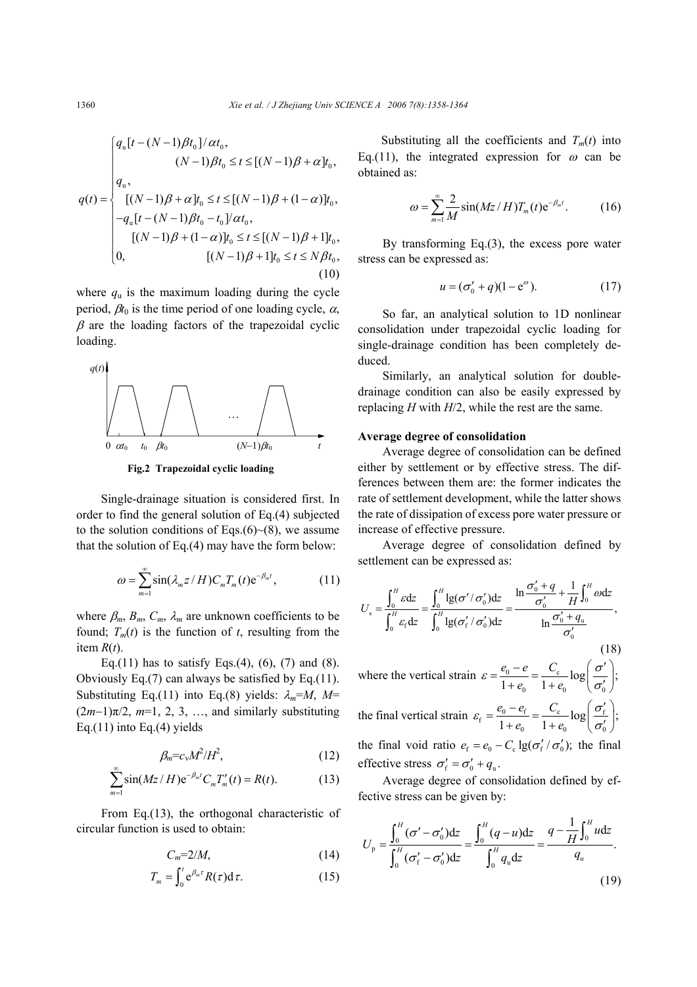$$
q(t) = \begin{cases} q_u[t - (N-1)\beta t_0]/\alpha t_0, \\ (N-1)\beta t_0 \le t \le [(N-1)\beta + \alpha]t_0, \\ q_u, \\ [(N-1)\beta + \alpha]t_0 \le t \le [(N-1)\beta + (1-\alpha)]t_0, \\ -q_u[t - (N-1)\beta t_0 - t_0]/\alpha t_0, \\ [(N-1)\beta + (1-\alpha)]t_0 \le t \le [(N-1)\beta + 1]t_0, \\ 0, \qquad [(N-1)\beta + 1]t_0 \le t \le N\beta t_0, \end{cases}
$$
(10)

where  $q_u$  is the maximum loading during the cycle period,  $\beta t_0$  is the time period of one loading cycle,  $\alpha$ ,  $\beta$  are the loading factors of the trapezoidal cyclic loading.



**Fig.2 Trapezoidal cyclic loading**

Single-drainage situation is considered first. In order to find the general solution of Eq.(4) subjected to the solution conditions of Eqs.(6) $\sim$ (8), we assume that the solution of Eq.(4) may have the form below:

$$
\omega = \sum_{m=1}^{\infty} \sin(\lambda_m z / H) C_m T_m(t) e^{-\beta_m t}, \qquad (11)
$$

where  $\beta_m$ ,  $B_m$ ,  $C_m$ ,  $\lambda_m$  are unknown coefficients to be found;  $T_m(t)$  is the function of *t*, resulting from the item  $R(t)$ .

Eq.(11) has to satisfy Eqs.(4), (6), (7) and (8). Obviously Eq.(7) can always be satisfied by Eq.(11). Substituting Eq.(11) into Eq.(8) yields:  $\lambda_m = M$ , M=  $(2m-1)\pi/2$ ,  $m=1, 2, 3, \ldots$ , and similarly substituting Eq.(11) into Eq.(4) yields

$$
\beta_m = c_v M^2 / H^2, \qquad (12)
$$

$$
\sum_{m=1}^{\infty} \sin(Mz/H) e^{-\beta_m t} C_m T'_m(t) = R(t).
$$
 (13)

From Eq.(13), the orthogonal characteristic of circular function is used to obtain:

$$
C_m=2/M,\tag{14}
$$

$$
T_m = \int_0^t e^{\beta_m \tau} R(\tau) d\tau.
$$
 (15)

Substituting all the coefficients and  $T_m(t)$  into Eq.(11), the integrated expression for  $\omega$  can be obtained as:

$$
\omega = \sum_{m=1}^{\infty} \frac{2}{M} \sin(Mz/H) T_m(t) e^{-\beta_m t}.
$$
 (16)

By transforming Eq.(3), the excess pore water stress can be expressed as:

$$
u = (\sigma'_0 + q)(1 - e^{\omega}). \tag{17}
$$

So far, an analytical solution to 1D nonlinear consolidation under trapezoidal cyclic loading for single-drainage condition has been completely deduced.

Similarly, an analytical solution for doubledrainage condition can also be easily expressed by replacing *H* with *H*/2, while the rest are the same.

#### **Average degree of consolidation**

Average degree of consolidation can be defined either by settlement or by effective stress. The differences between them are: the former indicates the rate of settlement development, while the latter shows the rate of dissipation of excess pore water pressure or increase of effective pressure.

Average degree of consolidation defined by settlement can be expressed as:

$$
U_s = \frac{\int_0^H \varepsilon dz}{\int_0^H \varepsilon_t dz} = \frac{\int_0^H \lg(\sigma'/\sigma'_0) dz}{\int_0^H \lg(\sigma'_t/\sigma'_0) dz} = \frac{\ln \frac{\sigma'_0 + q}{\sigma'_0} + \frac{1}{H} \int_0^H \omega dz}{\ln \frac{\sigma'_0 + q_u}{\sigma'_0}},
$$
(18)

where the vertical strain  $\varepsilon = \frac{e_0 - e}{1} = \frac{e_0}{1}$  $\frac{e_0 - e}{1 + e_0} = \frac{C_c}{1 + e_0} \log \left( \frac{\sigma'}{\sigma'_0} \right);$  $e_{0} = 1 + e_{0}$  $\varepsilon = \frac{e_0 - e}{\varepsilon} = \frac{C_c}{\varepsilon} \log \left| \frac{\sigma}{\varepsilon} \right|$  $=\frac{e_0-e}{1+e_0}=\frac{C_c}{1+e_0}\log\left(\frac{\sigma'}{\sigma'_0}\right)$ the final vertical strain  $\varepsilon_f = \frac{\varepsilon_0 - \varepsilon_f}{1 - \varepsilon_0} = \frac{C_c}{1 - \varepsilon_0} \log \left| \frac{\varepsilon_f}{\varepsilon} \right|$  $\frac{e_0 - e_f}{1 + e_0} = \frac{C_c}{1 + e_0} \log \left( \frac{\sigma'_f}{\sigma'_0} \right);$  $e_0$  1+*e*  $\varepsilon_{\rm c} = \frac{e_0 - e_{\rm f}}{e} = \frac{C_{\rm c}}{e} \log \left| \frac{\sigma}{\sigma} \right|$  $=\frac{e_0-e_{\rm f}}{1+e_0}=\frac{C_{\rm c}}{1+e_0}\log\left(\frac{\sigma'_{\rm f}}{\sigma'_{\rm o}}\right)$ the final void ratio  $e_f = e_0 - C_c \lg(\sigma'_f / \sigma'_0)$ ; the final effective stress  $\sigma'_{\rm f} = \sigma'_{\rm o} + q_{\rm u}$ .

Average degree of consolidation defined by effective stress can be given by:

$$
U_{\rm p} = \frac{\int_0^H (\sigma' - \sigma'_0) dz}{\int_0^H (\sigma'_f - \sigma'_0) dz} = \frac{\int_0^H (q - u) dz}{\int_0^H q_{\rm u} dz} = \frac{q - \frac{1}{H} \int_0^H u dz}{q_{\rm u}}.
$$
\n(19)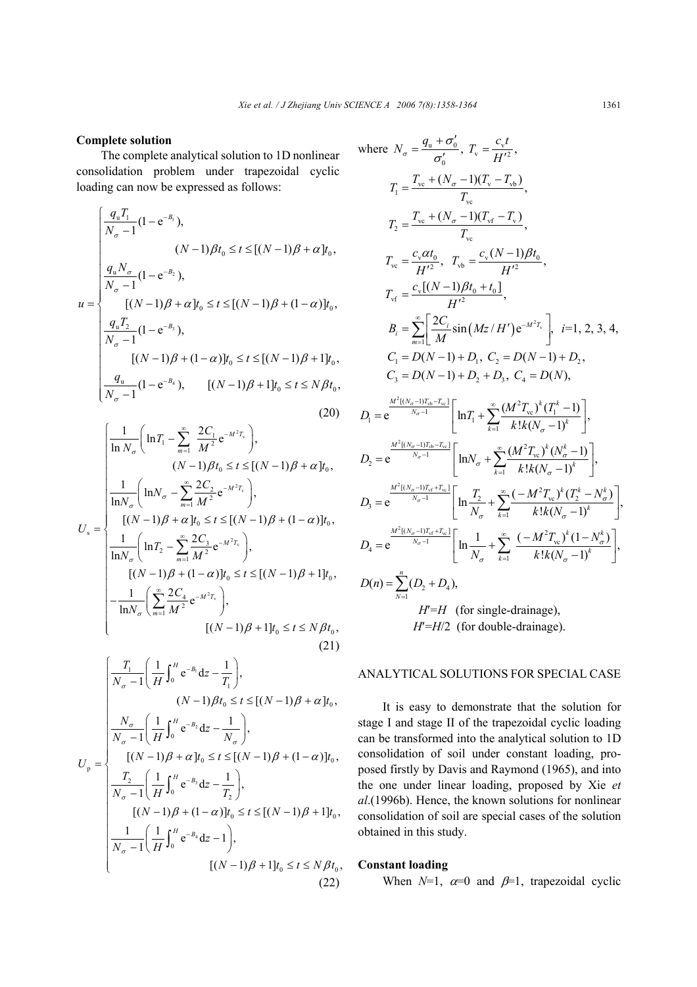# **Complete solution**

The complete analytical solution to 1D nonlinear consolidation problem under trapezoidal cyclic loading can now be expressed as follows:

$$
u = \begin{cases} \frac{q_{u}T_{1}}{N_{\sigma} - 1}(1 - e^{-B_{1}}), & (N - 1)\beta t_{0} \leq t \leq [(N - 1)\beta + \alpha]t_{0}, \\ \frac{q_{u}N_{\sigma}}{N_{\sigma} - 1}(1 - e^{-B_{2}}), & (N - 1)\beta + \alpha]t_{0} \leq t \leq [(N - 1)\beta + (1 - \alpha)]t_{0}, \\ \frac{q_{u}T_{2}}{N_{\sigma} - 1}(1 - e^{-B_{3}}), & (N - 1)\beta + (1 - \alpha)]t_{0} \leq t \leq [(N - 1)\beta + 1]t_{0}, \\ \frac{q_{u}}{N_{\sigma} - 1}(1 - e^{-B_{4}}), & [(N - 1)\beta + 1]t_{0} \leq t \leq N\beta t_{0}, \end{cases}
$$
\n(20)

$$
U_{s} = \begin{cases} \frac{1}{\ln N_{\sigma}} \left( \ln T_{1} - \sum_{m=1}^{\infty} \frac{2C_{1}}{M^{2}} e^{-M^{2}T_{v}} \right), & (N-1)\beta t_{0} \leq t \leq [(N-1)\beta + \alpha]t_{0}, \\ \frac{1}{\ln N_{\sigma}} \left( \ln N_{\sigma} - \sum_{m=1}^{\infty} \frac{2C_{2}}{M^{2}} e^{-M^{2}T_{v}} \right), & (N-1)\beta + \alpha]t_{0} \leq t \leq [(N-1)\beta + (1-\alpha)]t_{0}, \\ \frac{1}{\ln N_{\sigma}} \left( \ln T_{2} - \sum_{m=1}^{\infty} \frac{2C_{3}}{M^{2}} e^{-M^{2}T_{v}} \right), & (N-1)\beta + (1-\alpha)]t_{0} \leq t \leq [(N-1)\beta + 1]t_{0}, \\ -\frac{1}{\ln N_{\sigma}} \left( \sum_{m=1}^{\infty} \frac{2C_{4}}{M^{2}} e^{-M^{2}T_{v}} \right), & (N-1)\beta + 1]t_{0} \leq t \leq N\beta t_{0}, & (21) \end{cases}
$$

$$
U_{p} = \begin{cases} \frac{T_{1}}{N_{\sigma} - 1} \left( \frac{1}{H} \int_{0}^{H} e^{-B_{1}} dz - \frac{1}{T_{1}} \right), & (N - 1)\beta t_{0} \leq t \leq [(N - 1)\beta + \alpha]t_{0}, \\ \frac{N_{\sigma}}{N_{\sigma} - 1} \left( \frac{1}{H} \int_{0}^{H} e^{-B_{2}} dz - \frac{1}{N_{\sigma}} \right), & (N - 1)\beta + \alpha]t_{0}, \\ \frac{T_{2}}{N_{\sigma} - 1} \left( \frac{1}{H} \int_{0}^{H} e^{-B_{3}} dz - \frac{1}{T_{2}} \right), & (N - 1)\beta + (1 - \alpha)]t_{0}, \\ \frac{1}{N_{\sigma} - 1} \left( \frac{1}{H} \int_{0}^{H} e^{-B_{3}} dz - \frac{1}{T_{2}} \right), & (N - 1)\beta + (1 - \alpha)[t_{0} \leq t \leq [(N - 1)\beta + 1]t_{0}, \\ \frac{1}{N_{\sigma} - 1} \left( \frac{1}{H} \int_{0}^{H} e^{-B_{4}} dz - 1 \right), & (N - 1)\beta + 1]t_{0} \leq t \leq N\beta t_{0}, & (22) \end{cases}
$$

where 
$$
N_{\sigma} = \frac{q_u + \sigma'_0}{\sigma'_0}
$$
,  $T_v = \frac{c_v t}{H'^2}$ ,  
\n $T_1 = \frac{T_{vc} + (N_{\sigma} - 1)(T_v - T_{vb})}{T_{vc}}$ ,  
\n $T_2 = \frac{T_{vc} + (N_{\sigma} - 1)(T_{vf} - T_v)}{T_{vc}}$ ,  
\n $T_{vc} = \frac{c_v \alpha t_0}{H'^2}$ ,  $T_{vb} = \frac{c_v (N - 1)\beta t_0}{H'^2}$ ,  
\n $T_{vf} = \frac{c_v [(N - 1)\beta t_0 + t_0]}{H'^2}$ ,  
\n $B_i = \sum_{m=1}^{\infty} \left[ \frac{2C_i}{M} \sin(Mz/H') e^{-M^2 T_v} \right]$ ,  $i=1, 2, 3, 4$ ,  
\n $C_1 = D(N - 1) + D_1$ ,  $C_2 = D(N - 1) + D_2$ ,  
\n $C_3 = D(N - 1) + D_2 + D_3$ ,  $C_4 = D(N)$ ,  
\n $D_1 = e^{\frac{M^2 [(N_{\sigma} - 1)T_{rb} - T_{sv}]}{N_{\sigma} - 1}} \left[ \ln T_1 + \sum_{k=1}^{\infty} \frac{(M^2 T_{vc})^k (T_1^k - 1)}{k! k (N_{\sigma} - 1)^k} \right]$ ,  
\n $D_2 = e^{\frac{M^2 [(N_{\sigma} - 1)T_{rb} - T_{sv}]}{N_{\sigma} - 1}} \left[ \ln N_{\sigma} + \sum_{k=1}^{\infty} \frac{(M^2 T_{vc})^k (N_{\sigma}^k - 1)}{k! k (N_{\sigma} - 1)^k} \right]$ ,  
\n $D_3 = e^{\frac{M^2 [(N_{\sigma} - 1)T_{vt} + T_{sv}]}{N_{\sigma} - 1}} \left[ \ln \frac{T_2}{N_{\sigma}} + \sum_{k=1}^{\infty} \frac{(-M^2 T_{vc})^k (T_2^k - N_{\sigma}^k)}{k! k (N_{\sigma} - 1)^k} \right]$ ,  
\n $D(n) = \sum_{N=1}^{n} (D_2 + D_4)$ ,  
\n $H^$ 

# ANALYTICAL SOLUTIONS FOR SPECIAL CASE

It is easy to demonstrate that the solution for stage I and stage II of the trapezoidal cyclic loading can be transformed into the analytical solution to 1D consolidation of soil under constant loading, proposed firstly by Davis and Raymond (1965), and into the one under linear loading, proposed by Xie *et al*.(1996b). Hence, the known solutions for nonlinear consolidation of soil are special cases of the solution obtained in this study.

# **Constant loading**

When  $N=1$ ,  $\alpha=0$  and  $\beta=1$ , trapezoidal cyclic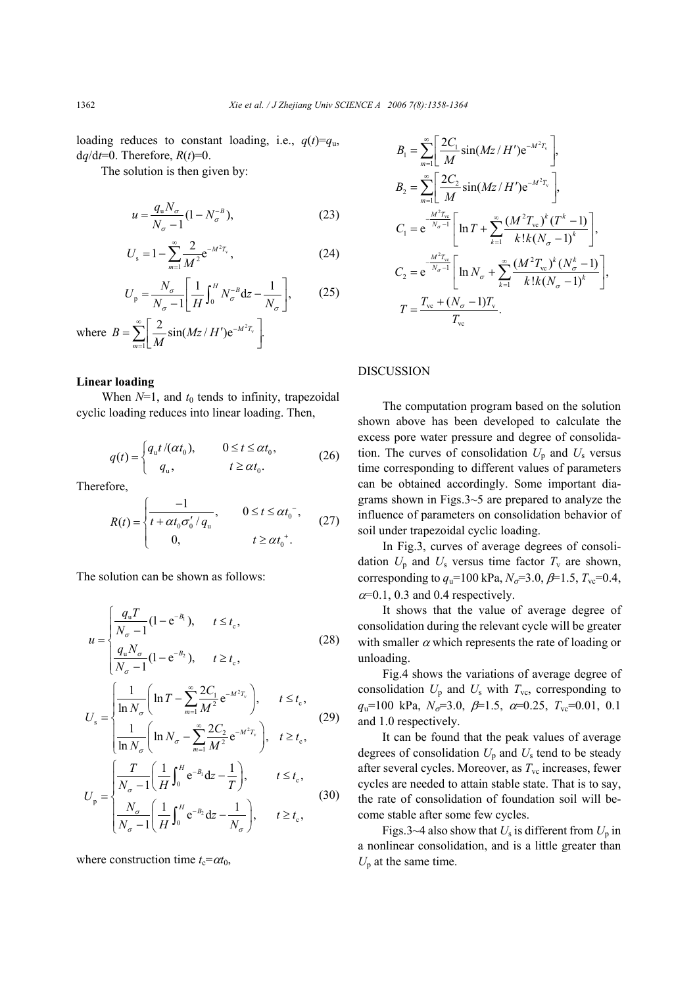loading reduces to constant loading, i.e.,  $q(t)=q_u$ ,  $dq/dt=0$ . Therefore,  $R(t)=0$ .

The solution is then given by:

$$
u = \frac{q_{\rm u} N_{\sigma}}{N_{\sigma} - 1} (1 - N_{\sigma}^{-B}),
$$
 (23)

$$
U_{s} = 1 - \sum_{m=1}^{\infty} \frac{2}{M^{2}} e^{-M^{2}T_{v}},
$$
 (24)

$$
U_{\mathbf{p}} = \frac{N_{\sigma}}{N_{\sigma} - 1} \left[ \frac{1}{H} \int_0^H N_{\sigma}^{-B} \mathrm{d}z - \frac{1}{N_{\sigma}} \right],\tag{25}
$$

where  $B = \sum_{n=1}^{\infty} \left| \frac{2}{n} \sin(Mz/H') e^{-M^2 T_v} \right|$ 1  $\frac{2}{\pi}$ sin(*Mz* / *H'*)e<sup> $-M^{2}T_{v}$ .</sup> *m*  $B = \sum \left| \frac{2}{\pi} \sin(Mz/H) \right|$ *M*  $\sum_{n=1}^{\infty} \left[ 2 \sin(M - l) \right]$  $=\sum_{m=1}^{\infty}\left[\frac{2}{M}\sin(Mz/H')e^{-M^2T_v}\right]$ 

### **Linear loading**

When  $N=1$ , and  $t_0$  tends to infinity, trapezoidal cyclic loading reduces into linear loading. Then,

$$
q(t) = \begin{cases} q_{\rm u} t / (\alpha t_0), & 0 \le t \le \alpha t_0, \\ q_{\rm u}, & t \ge \alpha t_0. \end{cases}
$$
 (26)

Therefore,

$$
R(t) = \begin{cases} \frac{-1}{t + \alpha t_0 \sigma'_0 / q_u}, & 0 \le t \le \alpha t_0^-, \\ 0, & t \ge \alpha t_0^+.\end{cases}
$$
 (27)

The solution can be shown as follows:

$$
u = \begin{cases} \frac{q_{u}T}{N_{\sigma} - 1}(1 - e^{-B_{1}}), & t \leq t_{c}, \\ \frac{q_{u}N_{\sigma}}{N_{\sigma} - 1}(1 - e^{-B_{2}}), & t \geq t_{c}, \end{cases}
$$
(28)  

$$
U_{s} = \begin{cases} \frac{1}{\ln N_{\sigma}} \left( \ln T - \sum_{m=1}^{\infty} \frac{2C_{1}}{M^{2}} e^{-M^{2}T_{v}} \right), & t \leq t_{c}, \\ \frac{1}{\ln N_{\sigma}} \left( \ln N_{\sigma} - \sum_{m=1}^{\infty} \frac{2C_{2}}{M^{2}} e^{-M^{2}T_{v}} \right), & t \geq t_{c}, \end{cases}
$$
(29)  

$$
U_{p} = \begin{cases} \frac{T}{N_{\sigma} - 1} \left( \frac{1}{H} \int_{0}^{H} e^{-B_{1}} dz - \frac{1}{T} \right), & t \leq t_{c}, \\ \frac{N_{\sigma}}{N_{\sigma} - 1} \left( \frac{1}{H} \int_{0}^{H} e^{-B_{2}} dz - \frac{1}{N_{\sigma}} \right), & t \geq t_{c}, \end{cases}
$$
(30)

where construction time  $t_c = \alpha t_0$ ,

$$
B_{1} = \sum_{m=1}^{\infty} \left[ \frac{2C_{1}}{M} \sin(Mz/H') e^{-M^{2}T_{v}} \right],
$$
  
\n
$$
B_{2} = \sum_{m=1}^{\infty} \left[ \frac{2C_{2}}{M} \sin(Mz/H') e^{-M^{2}T_{v}} \right],
$$
  
\n
$$
C_{1} = e^{\frac{-M^{2}T_{vc}}{N_{\sigma}-1}} \left[ \ln T + \sum_{k=1}^{\infty} \frac{(M^{2}T_{vc})^{k} (T^{k}-1)}{k!k(N_{\sigma}-1)^{k}} \right],
$$
  
\n
$$
C_{2} = e^{\frac{-M^{2}T_{vc}}{N_{\sigma}-1}} \left[ \ln N_{\sigma} + \sum_{k=1}^{\infty} \frac{(M^{2}T_{vc})^{k} (N_{\sigma}^{k}-1)}{k!k(N_{\sigma}-1)^{k}} \right],
$$
  
\n
$$
T = \frac{T_{vc} + (N_{\sigma}-1)T_{v}}{T_{vc}}.
$$

#### DISCUSSION

The computation program based on the solution shown above has been developed to calculate the excess pore water pressure and degree of consolidation. The curves of consolidation  $U_p$  and  $U_s$  versus time corresponding to different values of parameters can be obtained accordingly. Some important diagrams shown in Figs.3~5 are prepared to analyze the influence of parameters on consolidation behavior of soil under trapezoidal cyclic loading.

In Fig.3, curves of average degrees of consolidation  $U_p$  and  $U_s$  versus time factor  $T_v$  are shown, corresponding to  $q_u$ =100 kPa,  $N_{\sigma}$ =3.0,  $\beta$ =1.5,  $T_{\rm vc}$ =0.4,  $\alpha$ =0.1, 0.3 and 0.4 respectively.

It shows that the value of average degree of consolidation during the relevant cycle will be greater with smaller  $\alpha$  which represents the rate of loading or unloading.

Fig.4 shows the variations of average degree of consolidation  $U_p$  and  $U_s$  with  $T_{vc}$ , corresponding to  $q_u=100 \text{ kPa}, N_{\sigma}=3.0, \beta=1.5, \alpha=0.25, T_{\text{vc}}=0.01, 0.1$ and 1.0 respectively.

It can be found that the peak values of average degrees of consolidation  $U_p$  and  $U_s$  tend to be steady after several cycles. Moreover, as  $T_{\rm vc}$  increases, fewer cycles are needed to attain stable state. That is to say, the rate of consolidation of foundation soil will become stable after some few cycles.

Figs.3~4 also show that  $U_s$  is different from  $U_p$  in a nonlinear consolidation, and is a little greater than  $U_p$  at the same time.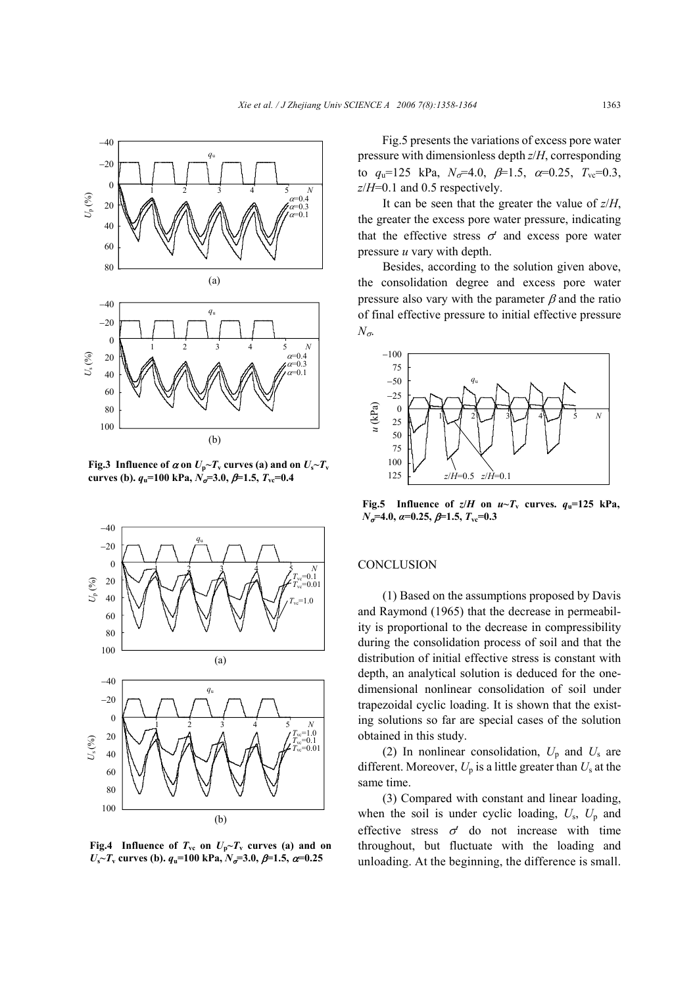

**Fig.3** Influence of  $\alpha$  on  $U_p \sim T_v$  curves (a) and on  $U_s \sim T_v$ **curves (b).**  $q_u=100 \text{ kPa}, N_\sigma=3.0, \beta=1.5, T_\text{vc}=0.4$ 



**Fig.4** Influence of  $T_{vc}$  on  $U_p \sim T_v$  curves (a) and on  $U_s$ <sup> $\sim$ </sup>*T*<sub>v</sub> curves (b).  $q_u$ =100 kPa,  $N_{\sigma}$ =3.0,  $\beta$ =1.5,  $\alpha$ =0.25

Fig.5 presents the variations of excess pore water pressure with dimensionless depth *z*/*H*, corresponding to  $q_u=125$  kPa,  $N_{\sigma}=4.0$ ,  $\beta=1.5$ ,  $\alpha=0.25$ ,  $T_{\rm vc}=0.3$ , *z*/*H*=0.1 and 0.5 respectively.

It can be seen that the greater the value of *z*/*H*, the greater the excess pore water pressure, indicating that the effective stress  $\sigma'$  and excess pore water pressure *u* vary with depth.

Besides, according to the solution given above, the consolidation degree and excess pore water pressure also vary with the parameter  $\beta$  and the ratio of final effective pressure to initial effective pressure *N*σ.



**Fig.5** Influence of  $z/H$  on  $u \sim T$ <sup>v</sup> curves.  $q_v = 125$  kPa, *N*<sub>σ</sub>=4.0, *α*=0.25, β=1.5,  $T_{\text{vc}}$ =0.3

### **CONCLUSION**

(1) Based on the assumptions proposed by Davis and Raymond (1965) that the decrease in permeability is proportional to the decrease in compressibility during the consolidation process of soil and that the distribution of initial effective stress is constant with depth, an analytical solution is deduced for the onedimensional nonlinear consolidation of soil under trapezoidal cyclic loading. It is shown that the existing solutions so far are special cases of the solution obtained in this study.

(2) In nonlinear consolidation,  $U_p$  and  $U_s$  are different. Moreover,  $U_p$  is a little greater than  $U_s$  at the same time.

(3) Compared with constant and linear loading, when the soil is under cyclic loading,  $U_s$ ,  $U_p$  and effective stress  $\sigma'$  do not increase with time throughout, but fluctuate with the loading and unloading. At the beginning, the difference is small.